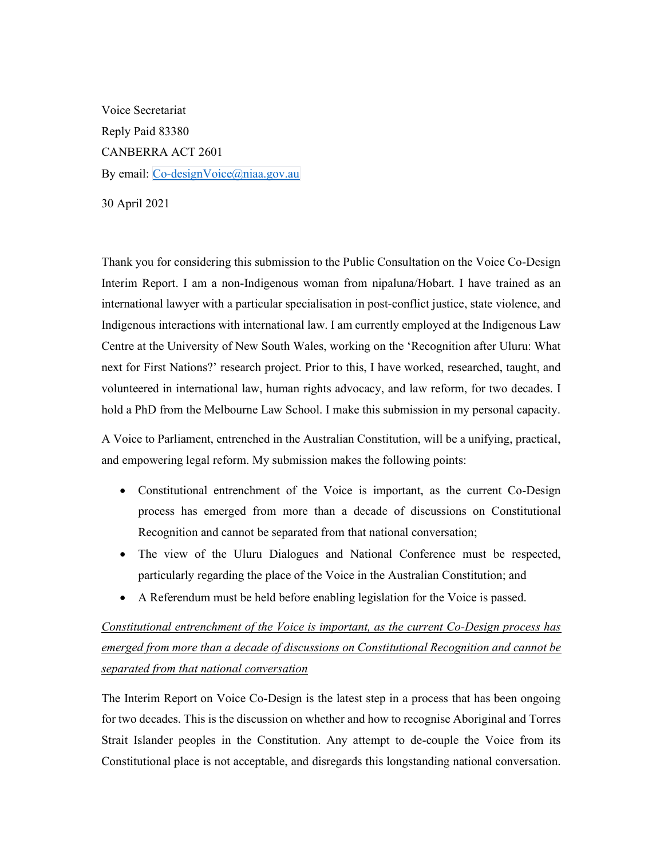Voice Secretariat Reply Paid 83380 CANBERRA ACT 2601 By email: Co-designVoice@niaa.gov.au

30 April 2021

 Thank you for considering this submission to the Public Consultation on the Voice Co-Design Interim Report. I am a non-Indigenous woman from nipaluna/Hobart. I have trained as an international lawyer with a particular specialisation in post-conflict justice, state violence, and Indigenous interactions with international law. I am currently employed at the Indigenous Law Centre at the University of New South Wales, working on the 'Recognition after Uluru: What next for First Nations?' research project. Prior to this, I have worked, researched, taught, and volunteered in international law, human rights advocacy, and law reform, for two decades. I hold a PhD from the Melbourne Law School. I make this submission in my personal capacity.

 A Voice to Parliament, entrenched in the Australian Constitution, will be a unifying, practical, and empowering legal reform. My submission makes the following points:

- Constitutional entrenchment of the Voice is important, as the current Co-Design process has emerged from more than a decade of discussions on Constitutional Recognition and cannot be separated from that national conversation;
- The view of the Uluru Dialogues and National Conference must be respected, particularly regarding the place of the Voice in the Australian Constitution; and
- A Referendum must be held before enabling legislation for the Voice is passed.

## Constitutional entrenchment of the Voice is important, as the current Co-Design process has emerged from more than a decade of discussions on Constitutional Recognition and cannot be separated from that national conversation

 The Interim Report on Voice Co-Design is the latest step in a process that has been ongoing for two decades. This is the discussion on whether and how to recognise Aboriginal and Torres Strait Islander peoples in the Constitution. Any attempt to de-couple the Voice from its Constitutional place is not acceptable, and disregards this longstanding national conversation.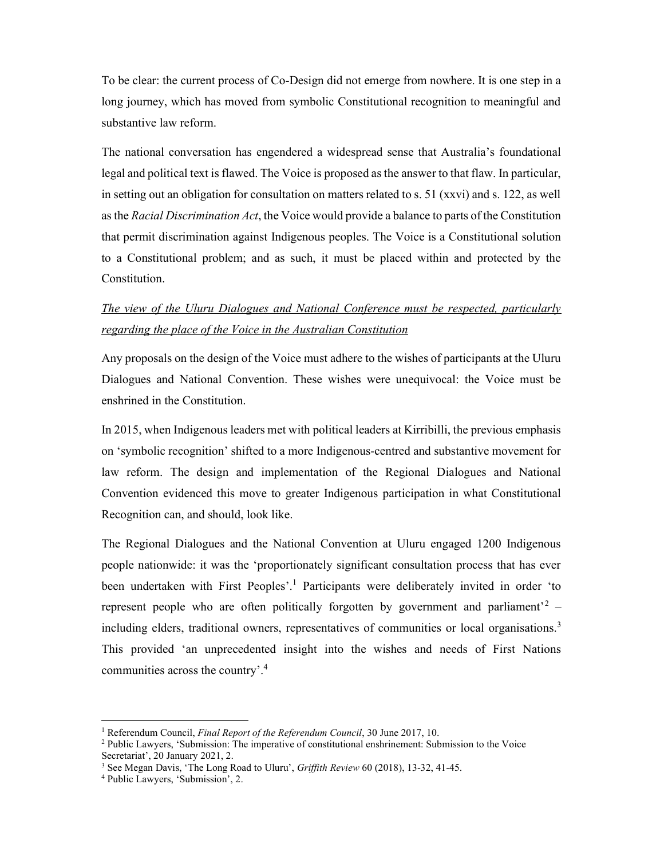To be clear: the current process of Co-Design did not emerge from nowhere. It is one step in a long journey, which has moved from symbolic Constitutional recognition to meaningful and substantive law reform.

 The national conversation has engendered a widespread sense that Australia's foundational legal and political text is flawed. The Voice is proposed as the answer to that flaw. In particular, in setting out an obligation for consultation on matters related to s. 51 (xxvi) and s. 122, as well as the Racial Discrimination Act, the Voice would provide a balance to parts of the Constitution that permit discrimination against Indigenous peoples. The Voice is a Constitutional solution to a Constitutional problem; and as such, it must be placed within and protected by the Constitution.

## The view of the Uluru Dialogues and National Conference must be respected, particularly regarding the place of the Voice in the Australian Constitution

 Any proposals on the design of the Voice must adhere to the wishes of participants at the Uluru Dialogues and National Convention. These wishes were unequivocal: the Voice must be enshrined in the Constitution.

 In 2015, when Indigenous leaders met with political leaders at Kirribilli, the previous emphasis on 'symbolic recognition' shifted to a more Indigenous-centred and substantive movement for law reform. The design and implementation of the Regional Dialogues and National Convention evidenced this move to greater Indigenous participation in what Constitutional Recognition can, and should, look like.

 The Regional Dialogues and the National Convention at Uluru engaged 1200 Indigenous people nationwide: it was the 'proportionately significant consultation process that has ever been undertaken with First Peoples'.<sup>1</sup> Participants were deliberately invited in order 'to represent people who are often politically forgotten by government and parliament<sup>2</sup> – including elders, traditional owners, representatives of communities or local organisations.<sup>3</sup> This provided 'an unprecedented insight into the wishes and needs of First Nations communities across the country'.<sup>4</sup>

<sup>&</sup>lt;sup>1</sup> Referendum Council, Final Report of the Referendum Council, 30 June 2017, 10.

<sup>&</sup>lt;sup>2</sup> Public Lawyers, 'Submission: The imperative of constitutional enshrinement: Submission to the Voice Secretariat', 20 January 2021, 2.

 $3$  See Megan Davis, 'The Long Road to Uluru', Griffith Review 60 (2018), 13-32, 41-45.

 4 Public Lawyers, 'Submission', 2.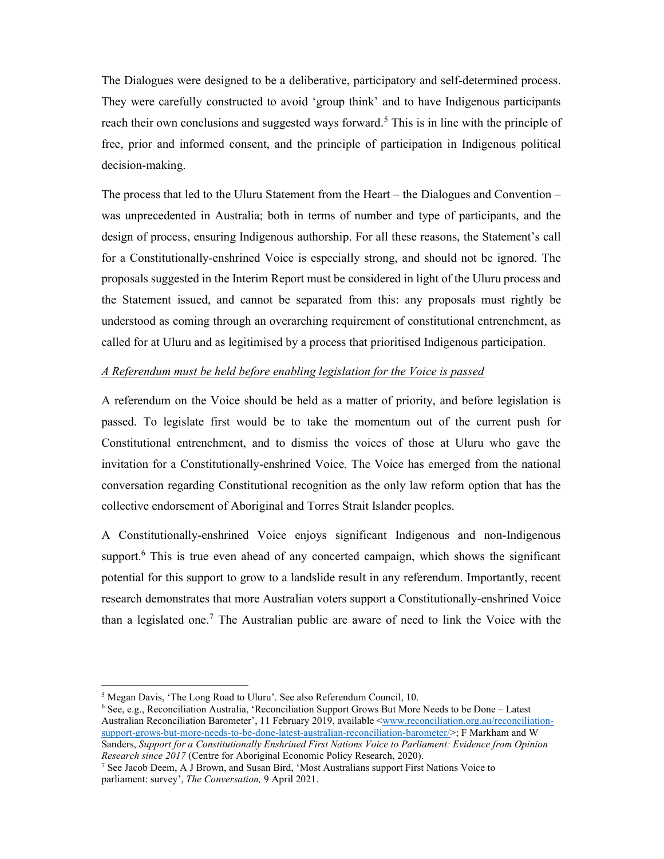The Dialogues were designed to be a deliberative, participatory and self-determined process. They were carefully constructed to avoid 'group think' and to have Indigenous participants reach their own conclusions and suggested ways forward.<sup>5</sup> This is in line with the principle of free, prior and informed consent, and the principle of participation in Indigenous political decision-making. decision-making.<br>The process that led to the Uluru Statement from the Heart – the Dialogues and Convention –

 was unprecedented in Australia; both in terms of number and type of participants, and the design of process, ensuring Indigenous authorship. For all these reasons, the Statement's call for a Constitutionally-enshrined Voice is especially strong, and should not be ignored. The proposals suggested in the Interim Report must be considered in light of the Uluru process and the Statement issued, and cannot be separated from this: any proposals must rightly be understood as coming through an overarching requirement of constitutional entrenchment, as called for at Uluru and as legitimised by a process that prioritised Indigenous participation.

## A Referendum must be held before enabling legislation for the Voice is passed

 A referendum on the Voice should be held as a matter of priority, and before legislation is passed. To legislate first would be to take the momentum out of the current push for Constitutional entrenchment, and to dismiss the voices of those at Uluru who gave the invitation for a Constitutionally-enshrined Voice. The Voice has emerged from the national conversation regarding Constitutional recognition as the only law reform option that has the collective endorsement of Aboriginal and Torres Strait Islander peoples.

 A Constitutionally-enshrined Voice enjoys significant Indigenous and non-Indigenous support.<sup>6</sup> This is true even ahead of any concerted campaign, which shows the significant potential for this support to grow to a landslide result in any referendum. Importantly, recent research demonstrates that more Australian voters support a Constitutionally-enshrined Voice than a legislated one.<sup>7</sup> The Australian public are aware of need to link the Voice with the

 $6$  See, e.g., Reconciliation Australia, 'Reconciliation Support Grows But More Needs to be Done – Latest Australian Reconciliation Barometer', 11 February 2019, available <www.reconciliation.org.au/reconciliation- support-grows-but-more-needs-to-be-done-latest-australian-reconciliation-barometer/>; F Markham and W Sanders, Support for a Constitutionally Enshrined First Nations Voice to Parliament: Evidence from Opinion Research since 2017 (Centre for Aboriginal Economic Policy Research, 2020).

 $<sup>5</sup>$  Megan Davis, 'The Long Road to Uluru'. See also Referendum Council, 10.</sup>

Research since 2017 (Centre for Aboriginal Economic Policy Research, 2020).<br><sup>7</sup> See Jacob Deem, A J Brown, and Susan Bird, 'Most Australians support First Nations Voice to parliament: survey', The Conversation, 9 April 2021.